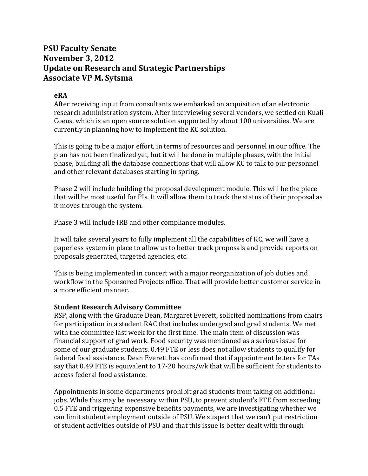## **PSU Faculty Senate November 3, 2012 Update on Research and Strategic Partnerships Associate VP M. Sytsma**

## **eRA**

After receiving input from consultants we embarked on acquisition of an electronic research administration system. After interviewing several vendors, we settled on Kuali Coeus, which is an open source solution supported by about 100 universities. We are currently in planning how to implement the KC solution.

This is going to be a major effort, in terms of resources and personnel in our office. The plan has not been finalized yet, but it will be done in multiple phases, with the initial phase, building all the database connections that will allow KC to talk to our personnel and other relevant databases starting in spring.

Phase 2 will include building the proposal development module. This will be the piece that will be most useful for PIs. It will allow them to track the status of their proposal as it moves through the system.

Phase 3 will include IRB and other compliance modules.

It will take several years to fully implement all the capabilities of KC, we will have a paperless system in place to allow us to better track proposals and provide reports on proposals generated, targeted agencies, etc.

This is being implemented in concert with a major reorganization of job duties and workflow in the Sponsored Projects office. That will provide better customer service in a more efficient manner.

## **Student Research Advisory Committee**

RSP, along with the Graduate Dean, Margaret Everett, solicited nominations from chairs for participation in a student RAC that includes undergrad and grad students. We met with the committee last week for the first time. The main item of discussion was financial support of grad work. Food security was mentioned as a serious issue for some of our graduate students. 0.49 FTE or less does not allow students to qualify for federal food assistance. Dean Everett has confirmed that if appointment letters for TAs say that 0.49 FTE is equivalent to 17-20 hours/wk that will be sufficient for students to access federal food assistance.

Appointments in some departments prohibit grad students from taking on additional jobs. While this may be necessary within PSU, to prevent student's FTE from exceeding 0.5 FTE and triggering expensive benefits payments, we are investigating whether we can limit student employment outside of PSU. We suspect that we can't put restriction of student activities outside of PSU and that this issue is better dealt with through